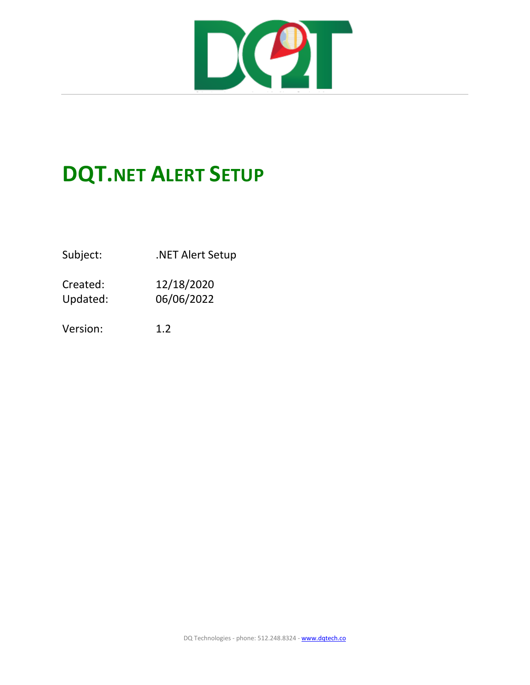

## **DQT.NET ALERT SETUP**

Subject: . .NET Alert Setup

Created: 12/18/2020 Updated: 06/06/2022

Version: 1.2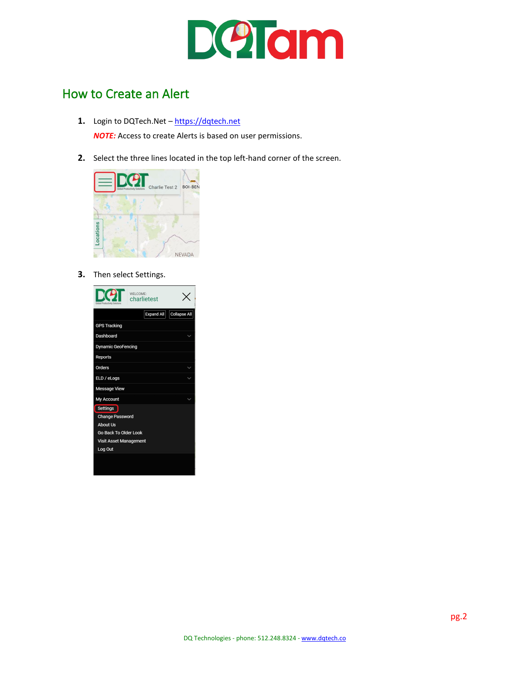

## How to Create an Alert

- **1.** Login to DQTech.Net [https://dqtech.net](https://dqtech.net/) *NOTE:* Access to create Alerts is based on user permissions.
- **2.** Select the three lines located in the top left-hand corner of the screen.



**3.** Then select Settings.

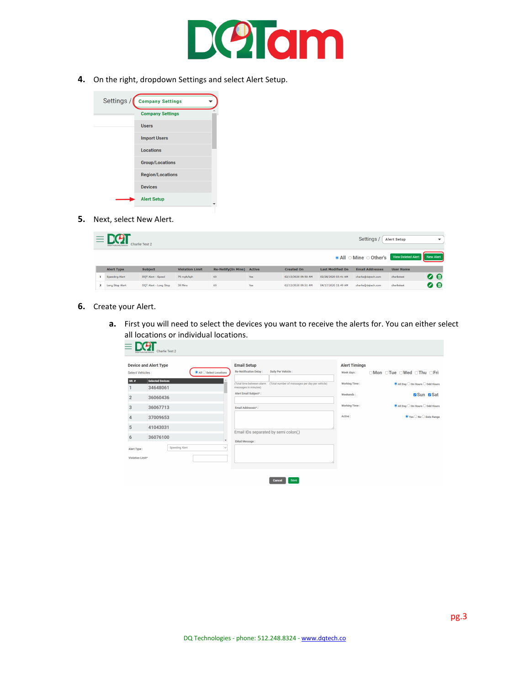

**4.** On the right, dropdown Settings and select Alert Setup.



**5.** Next, select New Alert.

|              | $\equiv$ D(2)<br>Settings<br>Charlie Test 2 |                       |                        |                           |               |                               | <b>Alert Setup</b>        | $\checkmark$           |                  |           |
|--------------|---------------------------------------------|-----------------------|------------------------|---------------------------|---------------|-------------------------------|---------------------------|------------------------|------------------|-----------|
|              |                                             |                       |                        |                           |               | <b>O</b> All ○ Mine ○ Other's | <b>View Deleted Alert</b> | New Alert              |                  |           |
|              | <b>Alert Type</b>                           | <b>Subject</b>        | <b>Violation Limit</b> | <b>Re-Notify(In Mins)</b> | <b>Active</b> | <b>Created On</b>             | <b>Last Modified On</b>   | <b>Email Addresses</b> | <b>User Name</b> |           |
|              | <b>Speeding Alert</b>                       | DQT Alert - Speed     | 75 mph/kph             | 60                        | Yes           | 02/13/2020 09:50 AM           | 02/28/2020 03:41 AM       | charlie@dqtech.com     | charlietest      | $\bullet$ |
| $\mathbf{z}$ | <b>Long Stop Alert</b>                      | DQT Alert - Long Stop | 30 Mins                | 60                        | Yes           | 02/13/2020 09:51 AM           | 04/17/2020 11:49 AM       | charlie@dgtech.com     | charlietest      | 0 €       |

- **6.** Create your Alert.
	- **a.** First you will need to select the devices you want to receive the alerts for. You can either select all locations or individual locations.

|                  | <b>Device and Alert Type</b>                                      | <b>Email Setup</b>                                                                               | <b>Alert Timings</b>                                                         |
|------------------|-------------------------------------------------------------------|--------------------------------------------------------------------------------------------------|------------------------------------------------------------------------------|
| Select Vehicles: | All C Select Locations                                            | Re-Notification Delay:<br>Daily Per Vehicle :                                                    | □Mon □Tue □Wed □Thu □Fri<br>Week days:                                       |
| $SR.$ #          | <b>Selected Devices</b><br>34648061                               | (Total time between alarm (Total number of messages per day per vehicle)<br>messages in minutes) | <b>Working Time:</b><br>$\bullet$ All Day $\circ$ On Hours $\circ$ Odd Hours |
| $\overline{2}$   | 36060436                                                          | Alert Email Subject*:                                                                            | Sun Bat<br>Weekends:                                                         |
| 3                | 36067713                                                          | Email Addresses*:                                                                                | <b>Working Time:</b><br>● All Day ○ On Hours ○ Odd Hours                     |
| 4                | 37009653                                                          |                                                                                                  | Active:<br>$\bullet$ Yes $\bigcirc$ No $\bigcirc$ Date Range                 |
| 5                | 41043031                                                          |                                                                                                  |                                                                              |
| 6                | 36076100                                                          | Email IDs separated by semi colon(;)                                                             |                                                                              |
| Alert Type:      | $\overline{\phantom{a}}$<br><b>Speeding Alert</b><br>$\checkmark$ | <b>EMail Message:</b>                                                                            |                                                                              |
| Violation Limit* |                                                                   |                                                                                                  |                                                                              |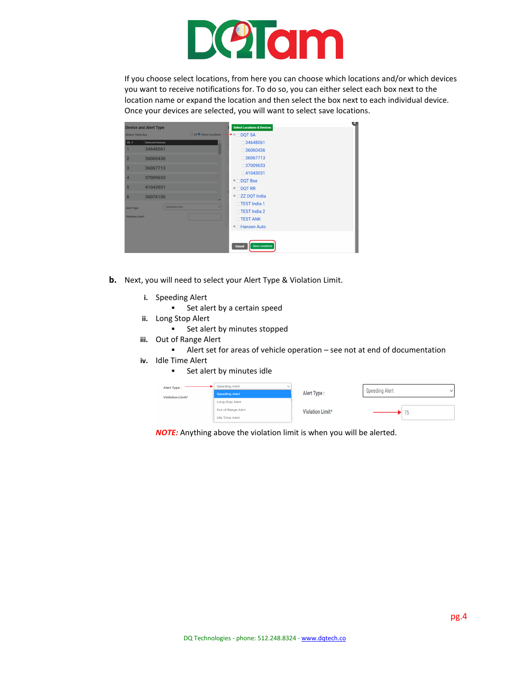

If you choose select locations, from here you can choose which locations and/or which devices you want to receive notifications for. To do so, you can either select each box next to the location name or expand the location and then select the box next to each individual device. Once your devices are selected, you will want to select save locations.

|                         | <b>Device and Alert Type</b>    | $\mathsf{x}$<br><b>Select Locations &amp; Devices</b> |
|-------------------------|---------------------------------|-------------------------------------------------------|
| Select Vehicles:        | C All C Select Locations -      | $\rightarrow$ $\blacksquare$ DOT SA                   |
| $SR.$ #                 | <b>Selected Devices</b>         | $\Box$ 34648061                                       |
|                         | 34648061                        | $\Box$ 36060436                                       |
| $\overline{2}$          | 36060436                        | $\Box$ 36067713                                       |
| 3                       | 36067713                        | □37009653                                             |
| $\overline{\mathbf{A}}$ | 37009653                        | $\Box$ 41043031                                       |
|                         |                                 | <sup>■</sup> □ DQT Bse                                |
| 5                       | 41043031                        | $\blacksquare$ DQT RR                                 |
| 6                       | 36076100                        | <sup>■</sup> □ ZZ DQT India                           |
| Alert Type:             | <b>Speeding Alert</b><br>$\vee$ | □ TEST India 1                                        |
|                         |                                 | □ TEST India 2                                        |
| Violation Limit*        |                                 | <b>DTEST ANK</b>                                      |
|                         |                                 | <sup>■</sup> <b>Hansen Auto</b>                       |
|                         |                                 |                                                       |
|                         |                                 | <b>Save Locations</b><br>Cancel                       |

- **b.** Next, you will need to select your Alert Type & Violation Limit.
	- **i.** Speeding Alert
		- **Set alert by a certain speed**
	- **ii.** Long Stop Alert
		- **Set alert by minutes stopped**
	- **iii.** Out of Range Alert
		- Alert set for areas of vehicle operation see not at end of documentation
	- **iv.** Idle Time Alert
		- **Set alert by minutes idle**

| Alert Type:<br><b>Violation Limit*</b> | <b>Speeding Alert</b><br><b>Speeding Alert</b>                         | Alert Type:      | <b>Speeding Alert</b> |
|----------------------------------------|------------------------------------------------------------------------|------------------|-----------------------|
|                                        | <b>Long Stop Alert</b><br>Out of Range Alert<br><b>Idle Time Alert</b> | Violation Limit* | 75                    |

*NOTE:* Anything above the violation limit is when you will be alerted.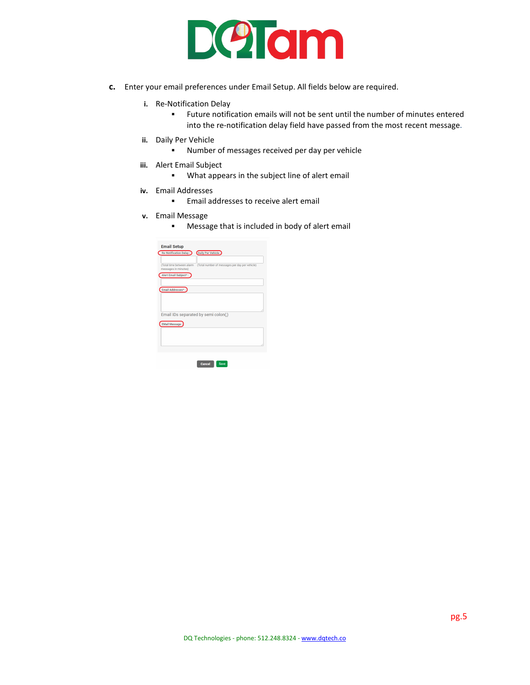

- **c.** Enter your email preferences under Email Setup. All fields below are required.
	- **i.** Re-Notification Delay
		- Future notification emails will not be sent until the number of minutes entered into the re-notification delay field have passed from the most recent message.
	- **ii.** Daily Per Vehicle
		- Number of messages received per day per vehicle
	- **iii.** Alert Email Subject
		- What appears in the subject line of alert email
	- **iv.** Email Addresses
		- **Email addresses to receive alert email**
	- **v.** Email Message
		- **Message that is included in body of alert email**

| <b>Email Setup</b>                                |                                                |
|---------------------------------------------------|------------------------------------------------|
| <b>Re-Notification Delay:</b>                     | Daily Per Vehicle :                            |
|                                                   |                                                |
| (Total time between alarm<br>messages in minutes) | (Total number of messages per day per vehicle) |
| Alert Email Subject*:                             |                                                |
|                                                   |                                                |
| Email Addresses*:                                 |                                                |
|                                                   |                                                |
|                                                   |                                                |
|                                                   |                                                |
| Email IDs separated by semi colon(;)              |                                                |
| <b>EMail Message:</b>                             |                                                |
|                                                   |                                                |
|                                                   |                                                |
|                                                   |                                                |
|                                                   |                                                |
|                                                   |                                                |
|                                                   |                                                |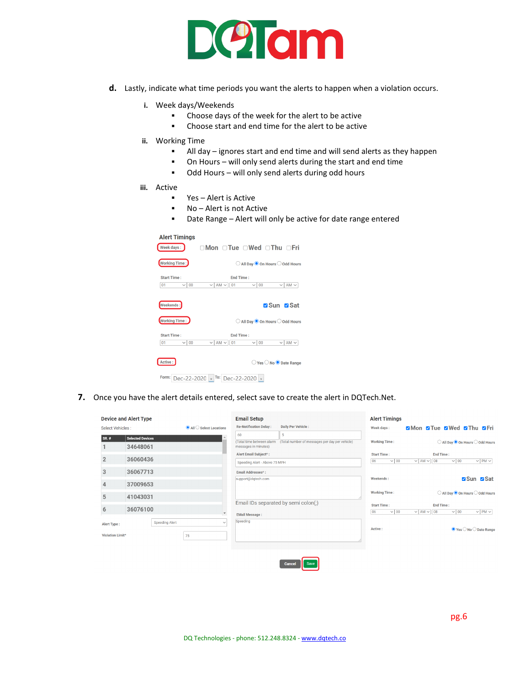

- **d.** Lastly, indicate what time periods you want the alerts to happen when a violation occurs.
	- **i.** Week days/Weekends
		- Choose days of the week for the alert to be active
		- Choose start and end time for the alert to be active
	- **ii.** Working Time
		- All day ignores start and end time and will send alerts as they happen
		- On Hours will only send alerts during the start and end time
		- Odd Hours will only send alerts during odd hours
	- **iii.** Active
		- Yes Alert is Active
		- No Alert is not Active
		- Date Range Alert will only be active for date range entered

| <b>Alert Timings</b>                       |                                                                                                                       |
|--------------------------------------------|-----------------------------------------------------------------------------------------------------------------------|
| Week days:                                 | $\cap$ Mon $\cap$ Tue $\cap$ Wed $\cap$ Thu $\cap$ Fri                                                                |
| <b>Working Time:</b>                       | ◯ All Day © On Hours ◯ Odd Hours                                                                                      |
| Start Time:<br>00<br>01<br>$\vee$ $\vdash$ | <b>Fnd Time:</b><br>$AM \sim$<br>$AM \sim$<br>01<br>0 <sub>0</sub><br>$\checkmark$<br>$\vee$ $\vdash$<br>$\checkmark$ |
| Weekends:                                  | <b>Ø</b> Sun ØSat                                                                                                     |
| <b>Working Time:</b>                       | $\bigcirc$ All Day $\bigcirc$ On Hours $\bigcirc$ Odd Hours                                                           |
| <b>Start Time:</b><br>$\vee$ 00<br>01      | <b>End Time:</b><br>$\vee$ AM $\vee$<br>01<br>$\vee$   AM $\vee$<br>$\vee$ 00                                         |
| Active:                                    | $\bigcirc$ Yes $\bigcirc$ No $\bigcirc$ Date Range                                                                    |
| Form:<br>Dec-22-2020                       | To:<br>Dec-22-2020<br>$\overline{\phantom{0}}$<br>$\ddot{\phantom{1}}$                                                |

**7.** Once you have the alert details entered, select save to create the alert in DQTech.Net.

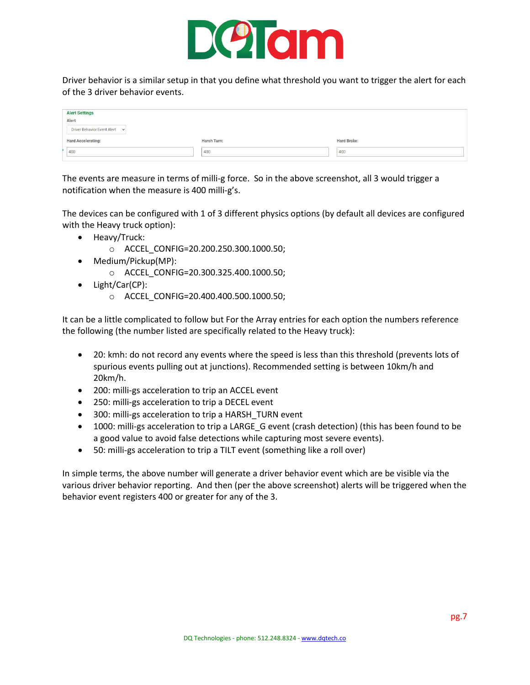

Driver behavior is a similar setup in that you define what threshold you want to trigger the alert for each of the 3 driver behavior events.

| <b>Alert Settings</b><br>Alert |             |             |
|--------------------------------|-------------|-------------|
|                                |             |             |
| Driver Behavior Event Alert v  |             |             |
| <b>Hard Accelerating:</b>      | Harsh Turn: | Hard Brake: |
| 400                            | 400<br>--   | 400         |
|                                |             |             |

The events are measure in terms of milli-g force. So in the above screenshot, all 3 would trigger a notification when the measure is 400 milli-g's.

The devices can be configured with 1 of 3 different physics options (by default all devices are configured with the Heavy truck option):

- Heavy/Truck:
	- o ACCEL\_CONFIG=20.200.250.300.1000.50;
- Medium/Pickup(MP):
	- o ACCEL\_CONFIG=20.300.325.400.1000.50;
- Light/Car(CP):
	- o ACCEL\_CONFIG=20.400.400.500.1000.50;

It can be a little complicated to follow but For the Array entries for each option the numbers reference the following (the number listed are specifically related to the Heavy truck):

- 20: kmh: do not record any events where the speed is less than this threshold (prevents lots of spurious events pulling out at junctions). Recommended setting is between 10km/h and 20km/h.
- 200: milli-gs acceleration to trip an ACCEL event
- 250: milli-gs acceleration to trip a DECEL event
- 300: milli-gs acceleration to trip a HARSH\_TURN event
- 1000: milli-gs acceleration to trip a LARGE G event (crash detection) (this has been found to be a good value to avoid false detections while capturing most severe events).
- 50: milli-gs acceleration to trip a TILT event (something like a roll over)

In simple terms, the above number will generate a driver behavior event which are be visible via the various driver behavior reporting. And then (per the above screenshot) alerts will be triggered when the behavior event registers 400 or greater for any of the 3.